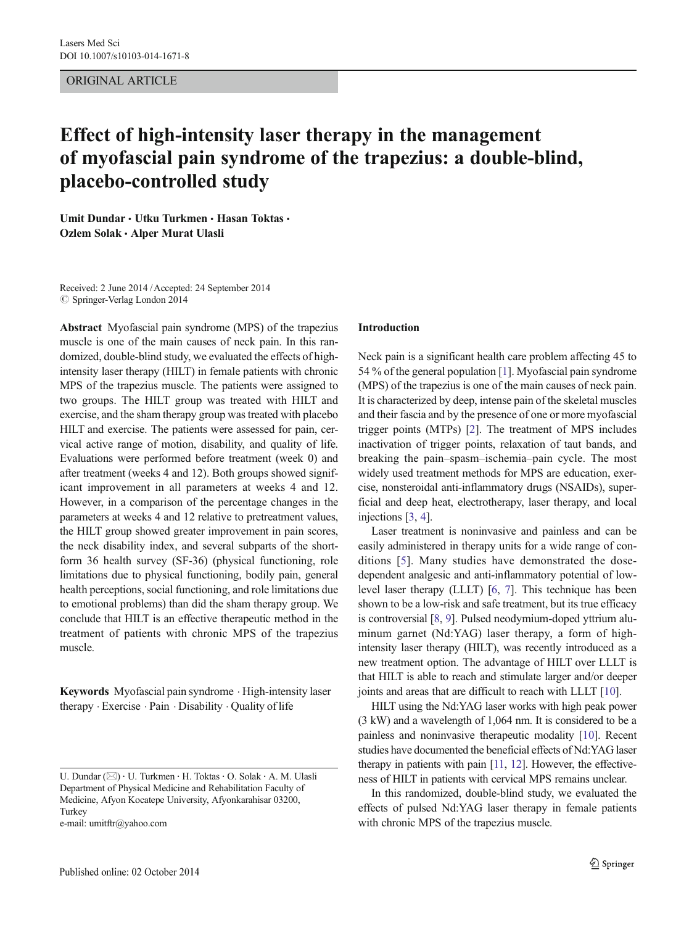# ORIGINAL ARTICLE

# Effect of high-intensity laser therapy in the management of myofascial pain syndrome of the trapezius: a double-blind, placebo-controlled study

Umit Dundar • Utku Turkmen • Hasan Toktas • Ozlem Solak & Alper Murat Ulasli

Received: 2 June 2014 /Accepted: 24 September 2014  $\oslash$  Springer-Verlag London 2014

Abstract Myofascial pain syndrome (MPS) of the trapezius muscle is one of the main causes of neck pain. In this randomized, double-blind study, we evaluated the effects of highintensity laser therapy (HILT) in female patients with chronic MPS of the trapezius muscle. The patients were assigned to two groups. The HILT group was treated with HILT and exercise, and the sham therapy group was treated with placebo HILT and exercise. The patients were assessed for pain, cervical active range of motion, disability, and quality of life. Evaluations were performed before treatment (week 0) and after treatment (weeks 4 and 12). Both groups showed significant improvement in all parameters at weeks 4 and 12. However, in a comparison of the percentage changes in the parameters at weeks 4 and 12 relative to pretreatment values, the HILT group showed greater improvement in pain scores, the neck disability index, and several subparts of the shortform 36 health survey (SF-36) (physical functioning, role limitations due to physical functioning, bodily pain, general health perceptions, social functioning, and role limitations due to emotional problems) than did the sham therapy group. We conclude that HILT is an effective therapeutic method in the treatment of patients with chronic MPS of the trapezius muscle.

Keywords Myofascial pain syndrome . High-intensity laser therapy . Exercise . Pain . Disability . Quality of life

e-mail: umitftr@yahoo.com

#### Introduction

Neck pain is a significant health care problem affecting 45 to 54 % of the general population [\[1](#page-6-0)]. Myofascial pain syndrome (MPS) of the trapezius is one of the main causes of neck pain. It is characterized by deep, intense pain of the skeletal muscles and their fascia and by the presence of one or more myofascial trigger points (MTPs) [\[2](#page-6-0)]. The treatment of MPS includes inactivation of trigger points, relaxation of taut bands, and breaking the pain–spasm–ischemia–pain cycle. The most widely used treatment methods for MPS are education, exercise, nonsteroidal anti-inflammatory drugs (NSAIDs), superficial and deep heat, electrotherapy, laser therapy, and local injections [\[3](#page-6-0), [4](#page-6-0)].

Laser treatment is noninvasive and painless and can be easily administered in therapy units for a wide range of conditions [[5\]](#page-6-0). Many studies have demonstrated the dosedependent analgesic and anti-inflammatory potential of lowlevel laser therapy (LLLT) [\[6](#page-6-0), [7](#page-6-0)]. This technique has been shown to be a low-risk and safe treatment, but its true efficacy is controversial [\[8,](#page-6-0) [9\]](#page-6-0). Pulsed neodymium-doped yttrium aluminum garnet (Nd:YAG) laser therapy, a form of highintensity laser therapy (HILT), was recently introduced as a new treatment option. The advantage of HILT over LLLT is that HILT is able to reach and stimulate larger and/or deeper joints and areas that are difficult to reach with LLLT [\[10](#page-6-0)].

HILT using the Nd:YAG laser works with high peak power (3 kW) and a wavelength of 1,064 nm. It is considered to be a painless and noninvasive therapeutic modality [\[10\]](#page-6-0). Recent studies have documented the beneficial effects of Nd:YAG laser therapy in patients with pain [[11](#page-6-0), [12\]](#page-6-0). However, the effectiveness of HILT in patients with cervical MPS remains unclear.

In this randomized, double-blind study, we evaluated the effects of pulsed Nd:YAG laser therapy in female patients with chronic MPS of the trapezius muscle.

U. Dundar ( $\boxtimes$ ) · U. Turkmen · H. Toktas · O. Solak · A. M. Ulasli Department of Physical Medicine and Rehabilitation Faculty of Medicine, Afyon Kocatepe University, Afyonkarahisar 03200, Turkey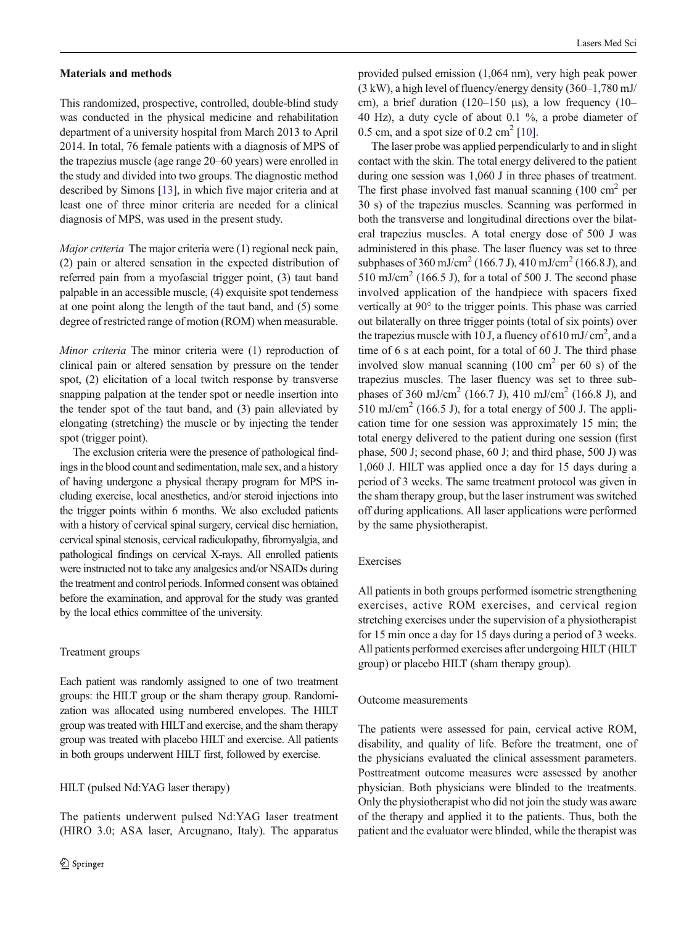## Materials and methods

This randomized, prospective, controlled, double-blind study was conducted in the physical medicine and rehabilitation department of a university hospital from March 2013 to April 2014. In total, 76 female patients with a diagnosis of MPS of the trapezius muscle (age range 20–60 years) were enrolled in the study and divided into two groups. The diagnostic method described by Simons [\[13](#page-6-0)], in which five major criteria and at least one of three minor criteria are needed for a clinical diagnosis of MPS, was used in the present study.

Major criteria The major criteria were (1) regional neck pain, (2) pain or altered sensation in the expected distribution of referred pain from a myofascial trigger point, (3) taut band palpable in an accessible muscle, (4) exquisite spot tenderness at one point along the length of the taut band, and (5) some degree of restricted range of motion (ROM) when measurable.

Minor criteria The minor criteria were (1) reproduction of clinical pain or altered sensation by pressure on the tender spot, (2) elicitation of a local twitch response by transverse snapping palpation at the tender spot or needle insertion into the tender spot of the taut band, and (3) pain alleviated by elongating (stretching) the muscle or by injecting the tender spot (trigger point).

The exclusion criteria were the presence of pathological findings in the blood count and sedimentation, male sex, and a history of having undergone a physical therapy program for MPS including exercise, local anesthetics, and/or steroid injections into the trigger points within 6 months. We also excluded patients with a history of cervical spinal surgery, cervical disc herniation, cervical spinal stenosis, cervical radiculopathy, fibromyalgia, and pathological findings on cervical X-rays. All enrolled patients were instructed not to take any analgesics and/or NSAIDs during the treatment and control periods. Informed consent was obtained before the examination, and approval for the study was granted by the local ethics committee of the university.

# Treatment groups

Each patient was randomly assigned to one of two treatment groups: the HILT group or the sham therapy group. Randomization was allocated using numbered envelopes. The HILT group was treated with HILT and exercise, and the sham therapy group was treated with placebo HILT and exercise. All patients in both groups underwent HILT first, followed by exercise.

# HILT (pulsed Nd:YAG laser therapy)

The patients underwent pulsed Nd:YAG laser treatment (HIRO 3.0; ASA laser, Arcugnano, Italy). The apparatus provided pulsed emission (1,064 nm), very high peak power (3 kW), a high level of fluency/energy density (360–1,780 mJ/ cm), a brief duration (120–150 μs), a low frequency (10– 40 Hz), a duty cycle of about 0.1 %, a probe diameter of 0.5 cm, and a spot size of 0.2 cm<sup>2</sup> [\[10\]](#page-6-0).

The laser probe was applied perpendicularly to and in slight contact with the skin. The total energy delivered to the patient during one session was 1,060 J in three phases of treatment. The first phase involved fast manual scanning  $(100 \text{ cm}^2 \text{ per}$ 30 s) of the trapezius muscles. Scanning was performed in both the transverse and longitudinal directions over the bilateral trapezius muscles. A total energy dose of 500 J was administered in this phase. The laser fluency was set to three subphases of 360 mJ/cm<sup>2</sup> (166.7 J), 410 mJ/cm<sup>2</sup> (166.8 J), and 510 mJ/cm<sup>2</sup> (166.5 J), for a total of 500 J. The second phase involved application of the handpiece with spacers fixed vertically at 90° to the trigger points. This phase was carried out bilaterally on three trigger points (total of six points) over the trapezius muscle with 10 J, a fluency of 610 mJ/ cm<sup>2</sup>, and a time of 6 s at each point, for a total of 60 J. The third phase involved slow manual scanning  $(100 \text{ cm}^2 \text{ per } 60 \text{ s})$  of the trapezius muscles. The laser fluency was set to three subphases of 360 mJ/cm<sup>2</sup> (166.7 J), 410 mJ/cm<sup>2</sup> (166.8 J), and 510 mJ/cm<sup>2</sup> (166.5 J), for a total energy of 500 J. The application time for one session was approximately 15 min; the total energy delivered to the patient during one session (first phase, 500 J; second phase, 60 J; and third phase, 500 J) was 1,060 J. HILT was applied once a day for 15 days during a period of 3 weeks. The same treatment protocol was given in the sham therapy group, but the laser instrument was switched off during applications. All laser applications were performed by the same physiotherapist.

# Exercises

All patients in both groups performed isometric strengthening exercises, active ROM exercises, and cervical region stretching exercises under the supervision of a physiotherapist for 15 min once a day for 15 days during a period of 3 weeks. All patients performed exercises after undergoing HILT (HILT group) or placebo HILT (sham therapy group).

## Outcome measurements

The patients were assessed for pain, cervical active ROM, disability, and quality of life. Before the treatment, one of the physicians evaluated the clinical assessment parameters. Posttreatment outcome measures were assessed by another physician. Both physicians were blinded to the treatments. Only the physiotherapist who did not join the study was aware of the therapy and applied it to the patients. Thus, both the patient and the evaluator were blinded, while the therapist was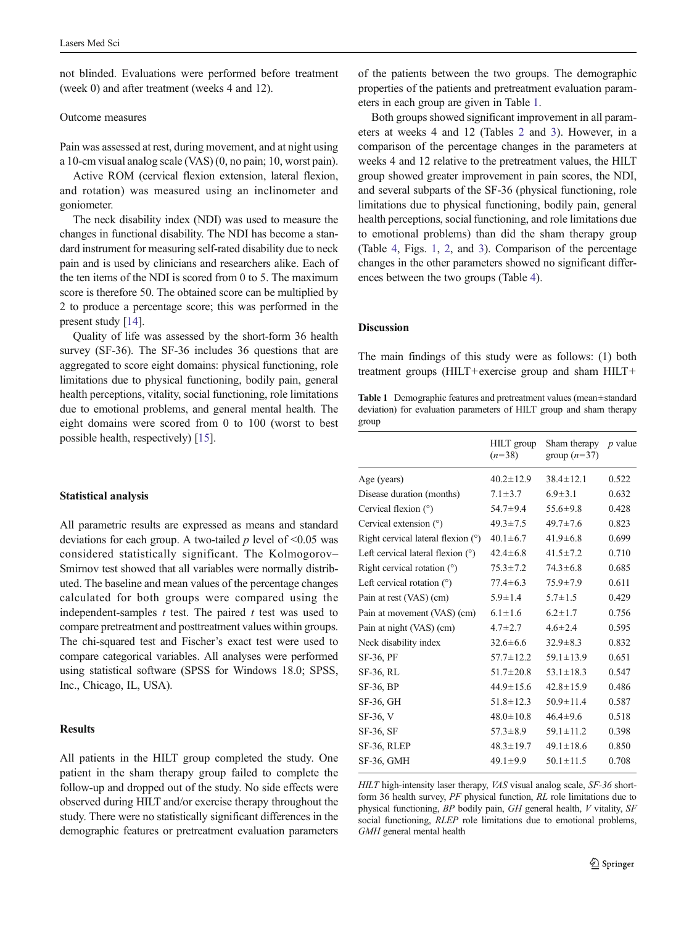not blinded. Evaluations were performed before treatment (week 0) and after treatment (weeks 4 and 12).

## Outcome measures

Pain was assessed at rest, during movement, and at night using a 10-cm visual analog scale (VAS) (0, no pain; 10, worst pain).

Active ROM (cervical flexion extension, lateral flexion, and rotation) was measured using an inclinometer and goniometer.

The neck disability index (NDI) was used to measure the changes in functional disability. The NDI has become a standard instrument for measuring self-rated disability due to neck pain and is used by clinicians and researchers alike. Each of the ten items of the NDI is scored from 0 to 5. The maximum score is therefore 50. The obtained score can be multiplied by 2 to produce a percentage score; this was performed in the present study [\[14](#page-6-0)].

Quality of life was assessed by the short-form 36 health survey (SF-36). The SF-36 includes 36 questions that are aggregated to score eight domains: physical functioning, role limitations due to physical functioning, bodily pain, general health perceptions, vitality, social functioning, role limitations due to emotional problems, and general mental health. The eight domains were scored from 0 to 100 (worst to best possible health, respectively) [\[15](#page-6-0)].

## Statistical analysis

All parametric results are expressed as means and standard deviations for each group. A two-tailed  $p$  level of <0.05 was considered statistically significant. The Kolmogorov– Smirnov test showed that all variables were normally distributed. The baseline and mean values of the percentage changes calculated for both groups were compared using the independent-samples  $t$  test. The paired  $t$  test was used to compare pretreatment and posttreatment values within groups. The chi-squared test and Fischer's exact test were used to compare categorical variables. All analyses were performed using statistical software (SPSS for Windows 18.0; SPSS, Inc., Chicago, IL, USA).

# **Results**

All patients in the HILT group completed the study. One patient in the sham therapy group failed to complete the follow-up and dropped out of the study. No side effects were observed during HILT and/or exercise therapy throughout the study. There were no statistically significant differences in the demographic features or pretreatment evaluation parameters of the patients between the two groups. The demographic properties of the patients and pretreatment evaluation parameters in each group are given in Table 1.

Both groups showed significant improvement in all parameters at weeks 4 and 12 (Tables [2](#page-3-0) and [3\)](#page-3-0). However, in a comparison of the percentage changes in the parameters at weeks 4 and 12 relative to the pretreatment values, the HILT group showed greater improvement in pain scores, the NDI, and several subparts of the SF-36 (physical functioning, role limitations due to physical functioning, bodily pain, general health perceptions, social functioning, and role limitations due to emotional problems) than did the sham therapy group (Table [4](#page-4-0), Figs. [1,](#page-4-0) [2,](#page-5-0) and [3\)](#page-5-0). Comparison of the percentage changes in the other parameters showed no significant differences between the two groups (Table [4](#page-4-0)).

#### Discussion

The main findings of this study were as follows: (1) both treatment groups (HILT+exercise group and sham HILT+

Table 1 Demographic features and pretreatment values (mean±standard deviation) for evaluation parameters of HILT group and sham therapy group

|                                      | HILT group<br>$(n=38)$ | Sham therapy $p$ value<br>group $(n=37)$ |       |
|--------------------------------------|------------------------|------------------------------------------|-------|
| Age (years)                          | $40.2 \pm 12.9$        | $38.4 \pm 12.1$                          | 0.522 |
| Disease duration (months)            | $7.1 \pm 3.7$          | $6.9 \pm 3.1$                            | 0.632 |
| Cervical flexion (°)                 | 54.7±9.4               | $55.6 \pm 9.8$                           | 0.428 |
| Cervical extension $(°)$             | $49.3 \pm 7.5$         | $49.7 \pm 7.6$                           | 0.823 |
| Right cervical lateral flexion $(°)$ | $40.1 \pm 6.7$         | $41.9 \pm 6.8$                           | 0.699 |
| Left cervical lateral flexion (°)    | $42.4 \pm 6.8$         | $41.5 \pm 7.2$                           | 0.710 |
| Right cervical rotation $(°)$        | $75.3 \pm 7.2$         | $74.3 \pm 6.8$                           | 0.685 |
| Left cervical rotation $(°)$         | $77.4 \pm 6.3$         | $75.9 \pm 7.9$                           | 0.611 |
| Pain at rest (VAS) (cm)              | $5.9 \pm 1.4$          | $5.7 \pm 1.5$                            | 0.429 |
| Pain at movement (VAS) (cm)          | $6.1 \pm 1.6$          | $6.2 \pm 1.7$                            | 0.756 |
| Pain at night (VAS) (cm)             | $4.7 \pm 2.7$          | $4.6 \pm 2.4$                            | 0.595 |
| Neck disability index                | $32.6 \pm 6.6$         | $32.9 \pm 8.3$                           | 0.832 |
| SF-36, PF                            | $57.7 \pm 12.2$        | $59.1 \pm 13.9$                          | 0.651 |
| SF-36, RL                            | $51.7 \pm 20.8$        | $53.1 \pm 18.3$                          | 0.547 |
| SF-36, BP                            | $44.9 \pm 15.6$        | $42.8 \pm 15.9$                          | 0.486 |
| SF-36, GH                            | $51.8 \pm 12.3$        | $50.9 \pm 11.4$                          | 0.587 |
| SF-36, V                             | $48.0 \pm 10.8$        | $46.4 \pm 9.6$                           | 0.518 |
| SF-36, SF                            | $57.3 \pm 8.9$         | $59.1 \pm 11.2$                          | 0.398 |
| SF-36, RLEP                          | $48.3 \pm 19.7$        | $49.1 \pm 18.6$                          | 0.850 |
| SF-36, GMH                           | $49.1 \pm 9.9$         | $50.1 \pm 11.5$                          | 0.708 |
|                                      |                        |                                          |       |

HILT high-intensity laser therapy, VAS visual analog scale, SF-36 shortform 36 health survey, PF physical function, RL role limitations due to physical functioning, BP bodily pain, GH general health, V vitality, SF social functioning, RLEP role limitations due to emotional problems, GMH general mental health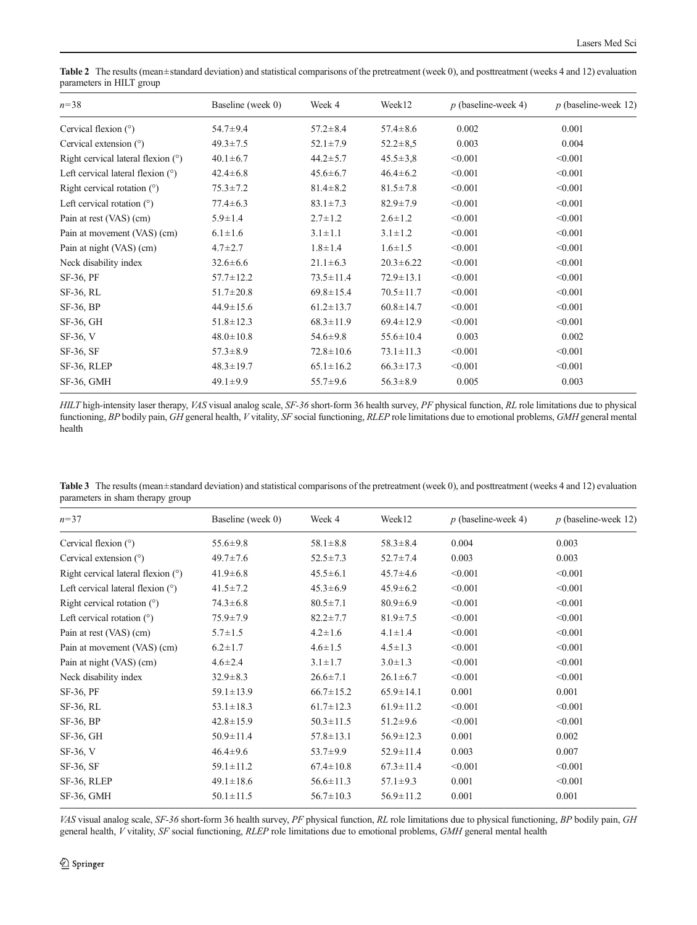<span id="page-3-0"></span>Table 2 The results (mean±standard deviation) and statistical comparisons of the pretreatment (week 0), and posttreatment (weeks 4 and 12) evaluation parameters in HILT group

| $n = 38$                             | Baseline (week 0) | Week 4          | Week12          | $p$ (baseline-week 4) | $p$ (baseline-week 12) |
|--------------------------------------|-------------------|-----------------|-----------------|-----------------------|------------------------|
| Cervical flexion $(°)$               | $54.7 \pm 9.4$    | $57.2 \pm 8.4$  | $57.4 \pm 8.6$  | 0.002                 | 0.001                  |
| Cervical extension $(°)$             | $49.3 \pm 7.5$    | $52.1 \pm 7.9$  | $52.2 \pm 8.5$  | 0.003                 | 0.004                  |
| Right cervical lateral flexion $(°)$ | $40.1 \pm 6.7$    | $44.2 \pm 5.7$  | $45.5 \pm 3.8$  | < 0.001               | < 0.001                |
| Left cervical lateral flexion $(°)$  | $42.4 \pm 6.8$    | $45.6 \pm 6.7$  | $46.4 \pm 6.2$  | < 0.001               | < 0.001                |
| Right cervical rotation $(°)$        | $75.3 \pm 7.2$    | $81.4 \pm 8.2$  | $81.5 \pm 7.8$  | < 0.001               | < 0.001                |
| Left cervical rotation $(°)$         | $77.4 \pm 6.3$    | $83.1 \pm 7.3$  | $82.9 \pm 7.9$  | < 0.001               | < 0.001                |
| Pain at rest (VAS) (cm)              | $5.9 \pm 1.4$     | $2.7 \pm 1.2$   | $2.6 \pm 1.2$   | < 0.001               | < 0.001                |
| Pain at movement (VAS) (cm)          | $6.1 \pm 1.6$     | $3.1 \pm 1.1$   | $3.1 \pm 1.2$   | < 0.001               | < 0.001                |
| Pain at night (VAS) (cm)             | $4.7 \pm 2.7$     | $1.8 \pm 1.4$   | $1.6 \pm 1.5$   | < 0.001               | < 0.001                |
| Neck disability index                | $32.6 \pm 6.6$    | $21.1 \pm 6.3$  | $20.3 \pm 6.22$ | < 0.001               | < 0.001                |
| SF-36, PF                            | $57.7 \pm 12.2$   | $73.5 \pm 11.4$ | $72.9 \pm 13.1$ | < 0.001               | < 0.001                |
| SF-36, RL                            | $51.7 \pm 20.8$   | $69.8 \pm 15.4$ | $70.5 \pm 11.7$ | < 0.001               | < 0.001                |
| SF-36, BP                            | $44.9 \pm 15.6$   | $61.2 \pm 13.7$ | $60.8 \pm 14.7$ | < 0.001               | < 0.001                |
| SF-36, GH                            | $51.8 \pm 12.3$   | $68.3 \pm 11.9$ | $69.4 \pm 12.9$ | < 0.001               | < 0.001                |
| SF-36, V                             | $48.0 \pm 10.8$   | $54.6 \pm 9.8$  | $55.6 \pm 10.4$ | 0.003                 | 0.002                  |
| SF-36, SF                            | $57.3 \pm 8.9$    | $72.8 \pm 10.6$ | $73.1 \pm 11.3$ | < 0.001               | < 0.001                |
| SF-36, RLEP                          | $48.3 \pm 19.7$   | $65.1 \pm 16.2$ | $66.3 \pm 17.3$ | < 0.001               | < 0.001                |
| SF-36, GMH                           | $49.1 \pm 9.9$    | $55.7 \pm 9.6$  | $56.3 \pm 8.9$  | 0.005                 | 0.003                  |

HILT high-intensity laser therapy, VAS visual analog scale, SF-36 short-form 36 health survey, PF physical function, RL role limitations due to physical functioning, BP bodily pain, GH general health, V vitality, SF social functioning, RLEP role limitations due to emotional problems, GMH general mental health

| Table 3 The results (mean±standard deviation) and statistical comparisons of the pretreatment (week 0), and posttreatment (weeks 4 and 12) evaluation |
|-------------------------------------------------------------------------------------------------------------------------------------------------------|
| parameters in sham therapy group                                                                                                                      |

| $n = 37$                             | Baseline (week 0) | Week 4          | Week12          | $p$ (baseline-week 4) | $p$ (baseline-week 12) |  |
|--------------------------------------|-------------------|-----------------|-----------------|-----------------------|------------------------|--|
| Cervical flexion $(°)$               | $55.6 \pm 9.8$    | $58.1 \pm 8.8$  | $58.3 \pm 8.4$  | 0.004                 | 0.003                  |  |
| Cervical extension $(°)$             | $49.7 \pm 7.6$    | $52.5 \pm 7.3$  | $52.7 \pm 7.4$  | 0.003                 | 0.003                  |  |
| Right cervical lateral flexion $(°)$ | $41.9 \pm 6.8$    | $45.5 \pm 6.1$  | $45.7 \pm 4.6$  | < 0.001               | < 0.001                |  |
| Left cervical lateral flexion $(°)$  | $41.5 \pm 7.2$    | $45.3 \pm 6.9$  | $45.9 \pm 6.2$  | < 0.001               | < 0.001                |  |
| Right cervical rotation $(°)$        | $74.3 \pm 6.8$    | $80.5 \pm 7.1$  | $80.9 \pm 6.9$  | < 0.001               | < 0.001                |  |
| Left cervical rotation $(°)$         | $75.9 \pm 7.9$    | $82.2 \pm 7.7$  | $81.9 \pm 7.5$  | < 0.001               | < 0.001                |  |
| Pain at rest (VAS) (cm)              | $5.7 \pm 1.5$     | $4.2 \pm 1.6$   | $4.1 \pm 1.4$   | < 0.001               | < 0.001                |  |
| Pain at movement (VAS) (cm)          | $6.2 \pm 1.7$     | $4.6 \pm 1.5$   | $4.5 \pm 1.3$   | < 0.001               | < 0.001                |  |
| Pain at night (VAS) (cm)             | $4.6 \pm 2.4$     | $3.1 \pm 1.7$   | $3.0 \pm 1.3$   | < 0.001               | < 0.001                |  |
| Neck disability index                | $32.9 \pm 8.3$    | $26.6 \pm 7.1$  | $26.1 \pm 6.7$  | < 0.001               | < 0.001                |  |
| SF-36, PF                            | $59.1 \pm 13.9$   | $66.7 \pm 15.2$ | $65.9 \pm 14.1$ | 0.001                 | 0.001                  |  |
| SF-36, RL                            | $53.1 \pm 18.3$   | $61.7 \pm 12.3$ | $61.9 \pm 11.2$ | < 0.001               | < 0.001                |  |
| SF-36, BP                            | $42.8 \pm 15.9$   | $50.3 \pm 11.5$ | $51.2 \pm 9.6$  | < 0.001               | < 0.001                |  |
| SF-36, GH                            | $50.9 \pm 11.4$   | $57.8 \pm 13.1$ | $56.9 \pm 12.3$ | 0.001                 | 0.002                  |  |
| SF-36, V                             | $46.4 \pm 9.6$    | $53.7 \pm 9.9$  | $52.9 \pm 11.4$ | 0.003                 | 0.007                  |  |
| SF-36, SF                            | $59.1 \pm 11.2$   | $67.4 \pm 10.8$ | $67.3 \pm 11.4$ | < 0.001               | < 0.001                |  |
| SF-36, RLEP                          | $49.1 \pm 18.6$   | $56.6 \pm 11.3$ | $57.1 \pm 9.3$  | 0.001                 | < 0.001                |  |
| <b>SF-36, GMH</b>                    | $50.1 \pm 11.5$   | $56.7 \pm 10.3$ | $56.9 \pm 11.2$ | 0.001                 | 0.001                  |  |

VAS visual analog scale, SF-36 short-form 36 health survey, PF physical function, RL role limitations due to physical functioning, BP bodily pain, GH general health, V vitality, SF social functioning, RLEP role limitations due to emotional problems, GMH general mental health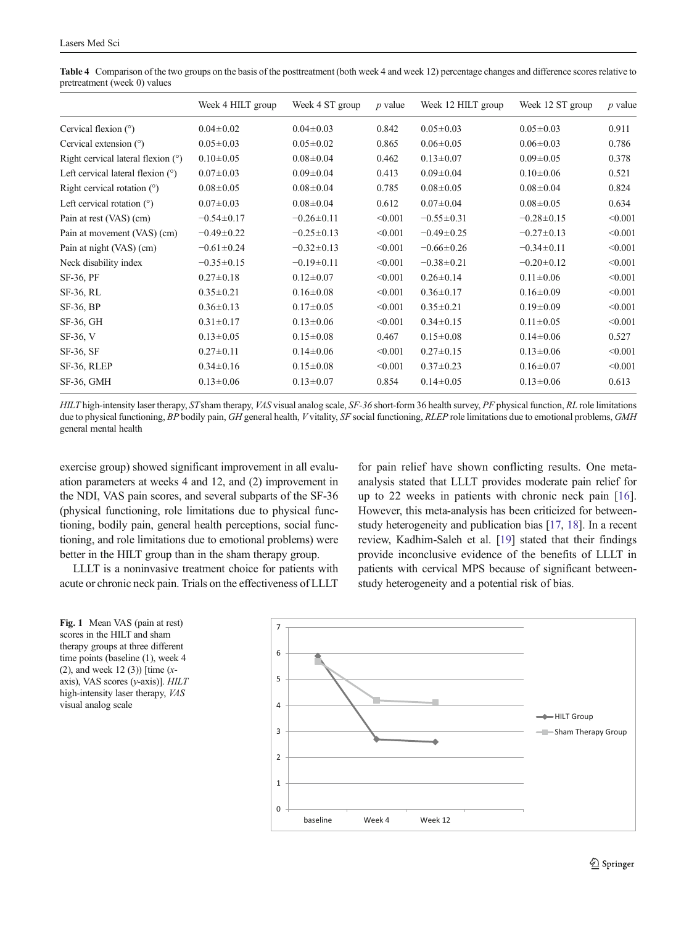|                                      | Week 4 HILT group | Week 4 ST group  | <i>p</i> value | Week 12 HILT group | Week 12 ST group | $p$ value |
|--------------------------------------|-------------------|------------------|----------------|--------------------|------------------|-----------|
| Cervical flexion $(°)$               | $0.04 \pm 0.02$   | $0.04 \pm 0.03$  | 0.842          | $0.05 \pm 0.03$    | $0.05 \pm 0.03$  | 0.911     |
| Cervical extension $(°)$             | $0.05 \pm 0.03$   | $0.05 \pm 0.02$  | 0.865          | $0.06 \pm 0.05$    | $0.06 \pm 0.03$  | 0.786     |
| Right cervical lateral flexion $(°)$ | $0.10 \pm 0.05$   | $0.08 \pm 0.04$  | 0.462          | $0.13 \pm 0.07$    | $0.09 \pm 0.05$  | 0.378     |
| Left cervical lateral flexion $(°)$  | $0.07 \pm 0.03$   | $0.09 \pm 0.04$  | 0.413          | $0.09 \pm 0.04$    | $0.10 \pm 0.06$  | 0.521     |
| Right cervical rotation $(°)$        | $0.08 \pm 0.05$   | $0.08 \pm 0.04$  | 0.785          | $0.08 \pm 0.05$    | $0.08 \pm 0.04$  | 0.824     |
| Left cervical rotation $(°)$         | $0.07 \pm 0.03$   | $0.08 \pm 0.04$  | 0.612          | $0.07 \pm 0.04$    | $0.08 \pm 0.05$  | 0.634     |
| Pain at rest (VAS) (cm)              | $-0.54 \pm 0.17$  | $-0.26 \pm 0.11$ | < 0.001        | $-0.55 \pm 0.31$   | $-0.28 \pm 0.15$ | < 0.001   |
| Pain at movement (VAS) (cm)          | $-0.49\pm0.22$    | $-0.25 \pm 0.13$ | < 0.001        | $-0.49 \pm 0.25$   | $-0.27 \pm 0.13$ | < 0.001   |
| Pain at night (VAS) (cm)             | $-0.61 \pm 0.24$  | $-0.32 \pm 0.13$ | < 0.001        | $-0.66 \pm 0.26$   | $-0.34 \pm 0.11$ | < 0.001   |
| Neck disability index                | $-0.35 \pm 0.15$  | $-0.19\pm0.11$   | < 0.001        | $-0.38 \pm 0.21$   | $-0.20 \pm 0.12$ | < 0.001   |
| SF-36, PF                            | $0.27 \pm 0.18$   | $0.12 \pm 0.07$  | < 0.001        | $0.26 \pm 0.14$    | $0.11 \pm 0.06$  | < 0.001   |
| SF-36, RL                            | $0.35 \pm 0.21$   | $0.16 \pm 0.08$  | < 0.001        | $0.36 \pm 0.17$    | $0.16 \pm 0.09$  | < 0.001   |
| SF-36, BP                            | $0.36 \pm 0.13$   | $0.17 \pm 0.05$  | < 0.001        | $0.35 \pm 0.21$    | $0.19 \pm 0.09$  | < 0.001   |
| SF-36, GH                            | $0.31 \pm 0.17$   | $0.13 \pm 0.06$  | < 0.001        | $0.34 \pm 0.15$    | $0.11 \pm 0.05$  | < 0.001   |
| SF-36, V                             | $0.13 \pm 0.05$   | $0.15 \pm 0.08$  | 0.467          | $0.15 \pm 0.08$    | $0.14 \pm 0.06$  | 0.527     |
| SF-36, SF                            | $0.27 \pm 0.11$   | $0.14 \pm 0.06$  | < 0.001        | $0.27 \pm 0.15$    | $0.13 \pm 0.06$  | < 0.001   |
| SF-36, RLEP                          | $0.34 \pm 0.16$   | $0.15 \pm 0.08$  | < 0.001        | $0.37 \pm 0.23$    | $0.16 \pm 0.07$  | < 0.001   |
| SF-36, GMH                           | $0.13 \pm 0.06$   | $0.13 \pm 0.07$  | 0.854          | $0.14 \pm 0.05$    | $0.13 \pm 0.06$  | 0.613     |

<span id="page-4-0"></span>Table 4 Comparison of the two groups on the basis of the posttreatment (both week 4 and week 12) percentage changes and difference scores relative to pretreatment (week 0) values

exercise group) showed significant improvement in all evaluation parameters at weeks 4 and 12, and (2) improvement in the NDI, VAS pain scores, and several subparts of the SF-36 (physical functioning, role limitations due to physical functioning, bodily pain, general health perceptions, social functioning, and role limitations due to emotional problems) were better in the HILT group than in the sham therapy group.

LLLT is a noninvasive treatment choice for patients with acute or chronic neck pain. Trials on the effectiveness of LLLT for pain relief have shown conflicting results. One metaanalysis stated that LLLT provides moderate pain relief for up to 22 weeks in patients with chronic neck pain [\[16](#page-6-0)]. However, this meta-analysis has been criticized for betweenstudy heterogeneity and publication bias [[17,](#page-6-0) [18\]](#page-6-0). In a recent review, Kadhim-Saleh et al. [\[19](#page-6-0)] stated that their findings provide inconclusive evidence of the benefits of LLLT in patients with cervical MPS because of significant betweenstudy heterogeneity and a potential risk of bias.

Fig. 1 Mean VAS (pain at rest) scores in the HILT and sham therapy groups at three different time points (baseline (1), week 4 (2), and week 12 (3)) [time (xaxis), VAS scores ( $y$ -axis)]. HILT high-intensity laser therapy, VAS visual analog scale



HILT high-intensity laser therapy, ST sham therapy, VAS visual analog scale, SF-36 short-form 36 health survey, PF physical function, RL role limitations due to physical functioning, BP bodily pain, GH general health, V vitality, SF social functioning, RLEP role limitations due to emotional problems, GMH general mental health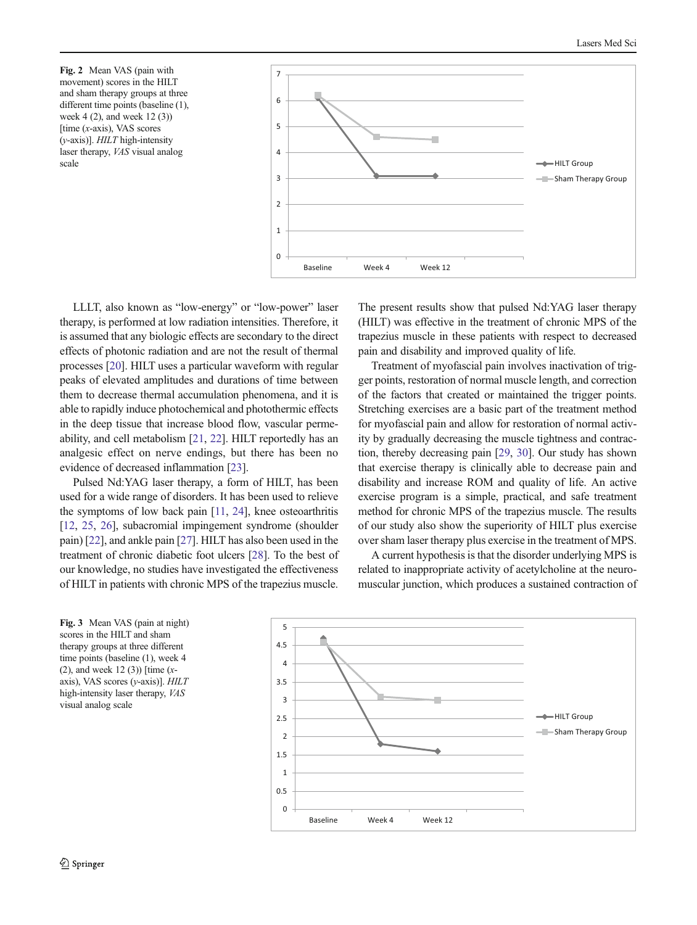<span id="page-5-0"></span>Fig. 2 Mean VAS (pain with movement) scores in the HILT and sham therapy groups at three different time points (baseline  $(1)$ , week 4 (2), and week 12 (3)) [time (x-axis), VAS scores (y-axis)]. HILT high-intensity laser therapy, VAS visual analog scale



LLLT, also known as "low-energy" or "low-power" laser therapy, is performed at low radiation intensities. Therefore, it is assumed that any biologic effects are secondary to the direct effects of photonic radiation and are not the result of thermal processes [[20](#page-6-0)]. HILT uses a particular waveform with regular peaks of elevated amplitudes and durations of time between them to decrease thermal accumulation phenomena, and it is able to rapidly induce photochemical and photothermic effects in the deep tissue that increase blood flow, vascular permeability, and cell metabolism [[21,](#page-6-0) [22\]](#page-7-0). HILT reportedly has an analgesic effect on nerve endings, but there has been no evidence of decreased inflammation [\[23\]](#page-7-0).

Pulsed Nd:YAG laser therapy, a form of HILT, has been used for a wide range of disorders. It has been used to relieve the symptoms of low back pain [[11,](#page-6-0) [24\]](#page-7-0), knee osteoarthritis [\[12,](#page-6-0) [25,](#page-7-0) [26\]](#page-7-0), subacromial impingement syndrome (shoulder pain) [\[22\]](#page-7-0), and ankle pain [\[27](#page-7-0)]. HILT has also been used in the treatment of chronic diabetic foot ulcers [\[28](#page-7-0)]. To the best of our knowledge, no studies have investigated the effectiveness of HILT in patients with chronic MPS of the trapezius muscle.

The present results show that pulsed Nd:YAG laser therapy (HILT) was effective in the treatment of chronic MPS of the trapezius muscle in these patients with respect to decreased pain and disability and improved quality of life.

Treatment of myofascial pain involves inactivation of trigger points, restoration of normal muscle length, and correction of the factors that created or maintained the trigger points. Stretching exercises are a basic part of the treatment method for myofascial pain and allow for restoration of normal activity by gradually decreasing the muscle tightness and contraction, thereby decreasing pain [\[29,](#page-7-0) [30](#page-7-0)]. Our study has shown that exercise therapy is clinically able to decrease pain and disability and increase ROM and quality of life. An active exercise program is a simple, practical, and safe treatment method for chronic MPS of the trapezius muscle. The results of our study also show the superiority of HILT plus exercise over sham laser therapy plus exercise in the treatment of MPS.

A current hypothesis is that the disorder underlying MPS is related to inappropriate activity of acetylcholine at the neuromuscular junction, which produces a sustained contraction of

Fig. 3 Mean VAS (pain at night) scores in the HILT and sham therapy groups at three different time points (baseline (1), week 4 (2), and week 12 (3)) [time (xaxis), VAS scores ( $y$ -axis)]. HILT high-intensity laser therapy, VAS visual analog scale

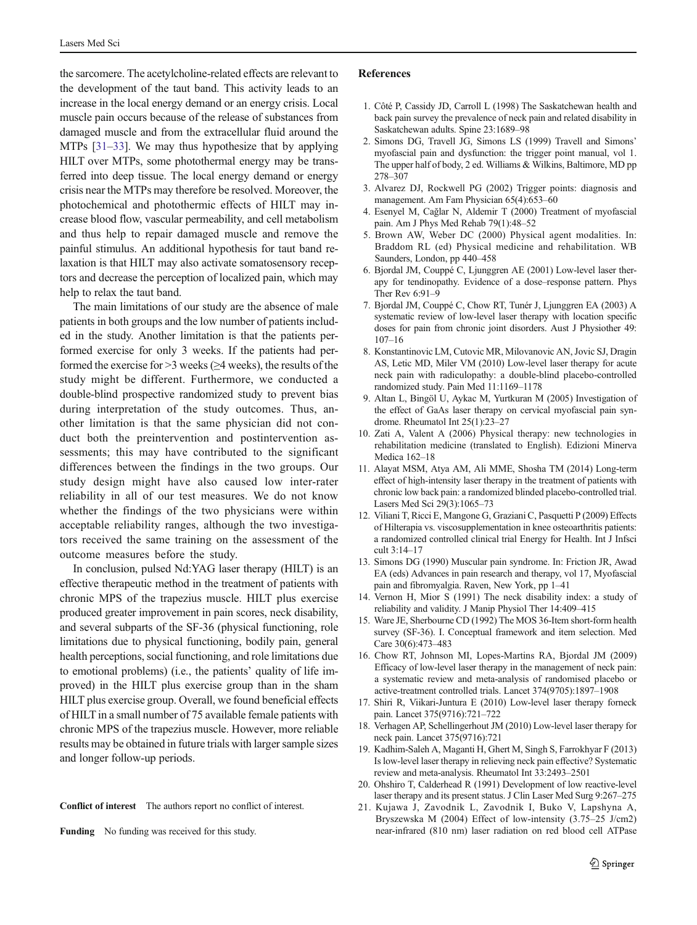<span id="page-6-0"></span>the sarcomere. The acetylcholine-related effects are relevant to the development of the taut band. This activity leads to an increase in the local energy demand or an energy crisis. Local muscle pain occurs because of the release of substances from damaged muscle and from the extracellular fluid around the MTPs [[31](#page-7-0)–[33](#page-7-0)]. We may thus hypothesize that by applying HILT over MTPs, some photothermal energy may be transferred into deep tissue. The local energy demand or energy crisis near the MTPs may therefore be resolved. Moreover, the photochemical and photothermic effects of HILT may increase blood flow, vascular permeability, and cell metabolism and thus help to repair damaged muscle and remove the painful stimulus. An additional hypothesis for taut band relaxation is that HILT may also activate somatosensory receptors and decrease the perception of localized pain, which may help to relax the taut band.

The main limitations of our study are the absence of male patients in both groups and the low number of patients included in the study. Another limitation is that the patients performed exercise for only 3 weeks. If the patients had performed the exercise for >3 weeks ( $\geq$ 4 weeks), the results of the study might be different. Furthermore, we conducted a double-blind prospective randomized study to prevent bias during interpretation of the study outcomes. Thus, another limitation is that the same physician did not conduct both the preintervention and postintervention assessments; this may have contributed to the significant differences between the findings in the two groups. Our study design might have also caused low inter-rater reliability in all of our test measures. We do not know whether the findings of the two physicians were within acceptable reliability ranges, although the two investigators received the same training on the assessment of the outcome measures before the study.

In conclusion, pulsed Nd:YAG laser therapy (HILT) is an effective therapeutic method in the treatment of patients with chronic MPS of the trapezius muscle. HILT plus exercise produced greater improvement in pain scores, neck disability, and several subparts of the SF-36 (physical functioning, role limitations due to physical functioning, bodily pain, general health perceptions, social functioning, and role limitations due to emotional problems) (i.e., the patients' quality of life improved) in the HILT plus exercise group than in the sham HILT plus exercise group. Overall, we found beneficial effects of HILT in a small number of 75 available female patients with chronic MPS of the trapezius muscle. However, more reliable results may be obtained in future trials with larger sample sizes and longer follow-up periods.

Conflict of interest The authors report no conflict of interest.

Funding No funding was received for this study.

## References

- 1. Côté P, Cassidy JD, Carroll L (1998) The Saskatchewan health and back pain survey the prevalence of neck pain and related disability in Saskatchewan adults. Spine 23:1689–98
- 2. Simons DG, Travell JG, Simons LS (1999) Travell and Simons' myofascial pain and dysfunction: the trigger point manual, vol 1. The upper half of body, 2 ed. Williams & Wilkins, Baltimore, MD pp 278–307
- 3. Alvarez DJ, Rockwell PG (2002) Trigger points: diagnosis and management. Am Fam Physician 65(4):653–60
- 4. Esenyel M, Cağlar N, Aldemir T (2000) Treatment of myofascial pain. Am J Phys Med Rehab 79(1):48–52
- 5. Brown AW, Weber DC (2000) Physical agent modalities. In: Braddom RL (ed) Physical medicine and rehabilitation. WB Saunders, London, pp 440–458
- 6. Bjordal JM, Couppé C, Ljunggren AE (2001) Low-level laser therapy for tendinopathy. Evidence of a dose–response pattern. Phys Ther Rev 6:91–9
- 7. Bjordal JM, Couppé C, Chow RT, Tunér J, Ljunggren EA (2003) A systematic review of low-level laser therapy with location specific doses for pain from chronic joint disorders. Aust J Physiother 49: 107–16
- 8. Konstantinovic LM, Cutovic MR, Milovanovic AN, Jovic SJ, Dragin AS, Letic MD, Miler VM (2010) Low-level laser therapy for acute neck pain with radiculopathy: a double-blind placebo-controlled randomized study. Pain Med 11:1169–1178
- 9. Altan L, Bingöl U, Aykac M, Yurtkuran M (2005) Investigation of the effect of GaAs laser therapy on cervical myofascial pain syndrome. Rheumatol Int 25(1):23–27
- 10. Zati A, Valent A (2006) Physical therapy: new technologies in rehabilitation medicine (translated to English). Edizioni Minerva Medica 162–18
- 11. Alayat MSM, Atya AM, Ali MME, Shosha TM (2014) Long-term effect of high-intensity laser therapy in the treatment of patients with chronic low back pain: a randomized blinded placebo-controlled trial. Lasers Med Sci 29(3):1065–73
- 12. Viliani T, Ricci E, Mangone G, Graziani C, Pasquetti P (2009) Effects of Hilterapia vs. viscosupplementation in knee osteoarthritis patients: a randomized controlled clinical trial Energy for Health. Int J Infsci cult 3:14–17
- 13. Simons DG (1990) Muscular pain syndrome. In: Friction JR, Awad EA (eds) Advances in pain research and therapy, vol 17, Myofascial pain and fibromyalgia. Raven, New York, pp 1–41
- 14. Vernon H, Mior S (1991) The neck disability index: a study of reliability and validity. J Manip Physiol Ther 14:409–415
- 15. Ware JE, Sherbourne CD (1992) The MOS 36-Item short-form health survey (SF-36). I. Conceptual framework and item selection. Med Care 30(6):473–483
- 16. Chow RT, Johnson MI, Lopes-Martins RA, Bjordal JM (2009) Efficacy of low-level laser therapy in the management of neck pain: a systematic review and meta-analysis of randomised placebo or active-treatment controlled trials. Lancet 374(9705):1897–1908
- 17. Shiri R, Viikari-Juntura E (2010) Low-level laser therapy forneck pain. Lancet 375(9716):721–722
- 18. Verhagen AP, Schellingerhout JM (2010) Low-level laser therapy for neck pain. Lancet 375(9716):721
- 19. Kadhim-Saleh A, Maganti H, Ghert M, Singh S, Farrokhyar F (2013) Is low-level laser therapy in relieving neck pain effective? Systematic review and meta-analysis. Rheumatol Int 33:2493–2501
- 20. Ohshiro T, Calderhead R (1991) Development of low reactive-level laser therapy and its present status. J Clin Laser Med Surg 9:267–275
- 21. Kujawa J, Zavodnik L, Zavodnik I, Buko V, Lapshyna A, Bryszewska M (2004) Effect of low-intensity (3.75–25 J/cm2) near-infrared (810 nm) laser radiation on red blood cell ATPase